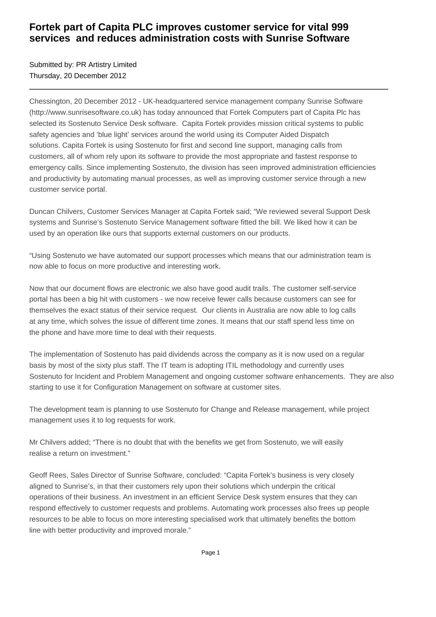## **Fortek part of Capita PLC improves customer service for vital 999 services and reduces administration costs with Sunrise Software**

Submitted by: PR Artistry Limited Thursday, 20 December 2012

Chessington, 20 December 2012 - UK-headquartered service management company Sunrise Software (http://www.sunrisesoftware.co.uk) has today announced that Fortek Computers part of Capita Plc has selected its Sostenuto Service Desk software. Capita Fortek provides mission critical systems to public safety agencies and 'blue light' services around the world using its Computer Aided Dispatch solutions. Capita Fortek is using Sostenuto for first and second line support, managing calls from customers, all of whom rely upon its software to provide the most appropriate and fastest response to emergency calls. Since implementing Sostenuto, the division has seen improved administration efficiencies and productivity by automating manual processes, as well as improving customer service through a new customer service portal.

Duncan Chilvers, Customer Services Manager at Capita Fortek said; "We reviewed several Support Desk systems and Sunrise's Sostenuto Service Management software fitted the bill. We liked how it can be used by an operation like ours that supports external customers on our products.

"Using Sostenuto we have automated our support processes which means that our administration team is now able to focus on more productive and interesting work.

Now that our document flows are electronic we also have good audit trails. The customer self-service portal has been a big hit with customers - we now receive fewer calls because customers can see for themselves the exact status of their service request. Our clients in Australia are now able to log calls at any time, which solves the issue of different time zones. It means that our staff spend less time on the phone and have more time to deal with their requests.

The implementation of Sostenuto has paid dividends across the company as it is now used on a regular basis by most of the sixty plus staff. The IT team is adopting ITIL methodology and currently uses Sostenuto for Incident and Problem Management and ongoing customer software enhancements. They are also starting to use it for Configuration Management on software at customer sites.

The development team is planning to use Sostenuto for Change and Release management, while project management uses it to log requests for work.

Mr Chilvers added; "There is no doubt that with the benefits we get from Sostenuto, we will easily realise a return on investment."

Geoff Rees, Sales Director of Sunrise Software, concluded: "Capita Fortek's business is very closely aligned to Sunrise's, in that their customers rely upon their solutions which underpin the critical operations of their business. An investment in an efficient Service Desk system ensures that they can respond effectively to customer requests and problems. Automating work processes also frees up people resources to be able to focus on more interesting specialised work that ultimately benefits the bottom line with better productivity and improved morale."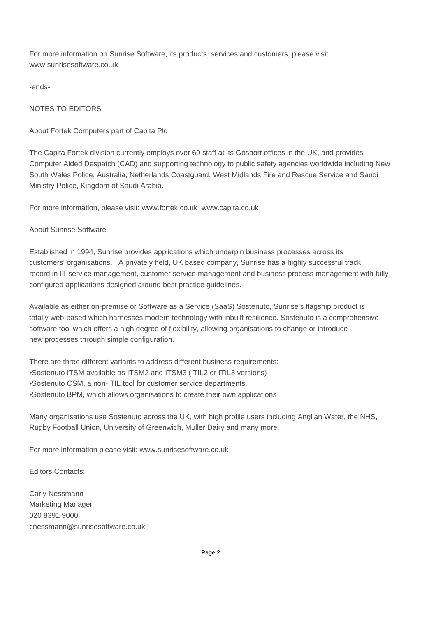For more information on Sunrise Software, its products, services and customers, please visit www.sunrisesoftware.co.uk

-ends-

### NOTES TO EDITORS

#### About Fortek Computers part of Capita Plc

The Capita Fortek division currently employs over 60 staff at its Gosport offices in the UK, and provides Computer Aided Despatch (CAD) and supporting technology to public safety agencies worldwide including New South Wales Police, Australia, Netherlands Coastguard, West Midlands Fire and Rescue Service and Saudi Ministry Police, Kingdom of Saudi Arabia.

For more information, please visit: www.fortek.co.uk www.capita.co.uk

#### About Sunrise Software

Established in 1994, Sunrise provides applications which underpin business processes across its customers' organisations. A privately held, UK based company, Sunrise has a highly successful track record in IT service management, customer service management and business process management with fully configured applications designed around best practice guidelines.

Available as either on-premise or Software as a Service (SaaS) Sostenuto, Sunrise's flagship product is totally web-based which harnesses modern technology with inbuilt resilience. Sostenuto is a comprehensive software tool which offers a high degree of flexibility, allowing organisations to change or introduce new processes through simple configuration.

There are three different variants to address different business requirements:

- • Sostenuto ITSM available as ITSM2 and ITSM3 (ITIL2 or ITIL3 versions)
- Sostenuto CSM, a non-ITIL tool for customer service departments.
- Sostenuto BPM, which allows organisations to create their own applications

Many organisations use Sostenuto across the UK, with high profile users including Anglian Water, the NHS, Rugby Football Union, University of Greenwich, Muller Dairy and many more.

For more information please visit: www.sunrisesoftware.co.uk

Editors Contacts:

Carly Nessmann Marketing Manager 020 8391 9000 cnessmann@sunrisesoftware.co.uk